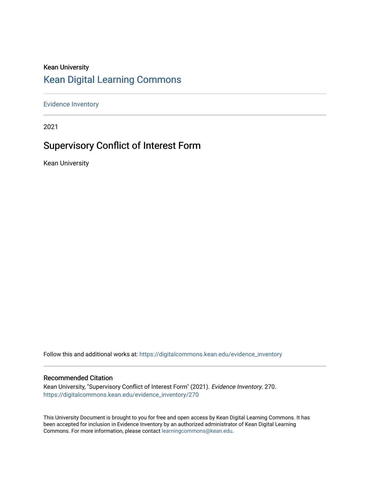## Kean University [Kean Digital Learning Commons](https://digitalcommons.kean.edu/)

[Evidence Inventory](https://digitalcommons.kean.edu/evidence_inventory) 

2021

# Supervisory Conflict of Interest Form

Kean University

Follow this and additional works at: [https://digitalcommons.kean.edu/evidence\\_inventory](https://digitalcommons.kean.edu/evidence_inventory?utm_source=digitalcommons.kean.edu%2Fevidence_inventory%2F270&utm_medium=PDF&utm_campaign=PDFCoverPages)

#### Recommended Citation

Kean University, "Supervisory Conflict of Interest Form" (2021). Evidence Inventory. 270. [https://digitalcommons.kean.edu/evidence\\_inventory/270](https://digitalcommons.kean.edu/evidence_inventory/270?utm_source=digitalcommons.kean.edu%2Fevidence_inventory%2F270&utm_medium=PDF&utm_campaign=PDFCoverPages)

This University Document is brought to you for free and open access by Kean Digital Learning Commons. It has been accepted for inclusion in Evidence Inventory by an authorized administrator of Kean Digital Learning Commons. For more information, please contact [learningcommons@kean.edu.](mailto:learningcommons@kean.edu)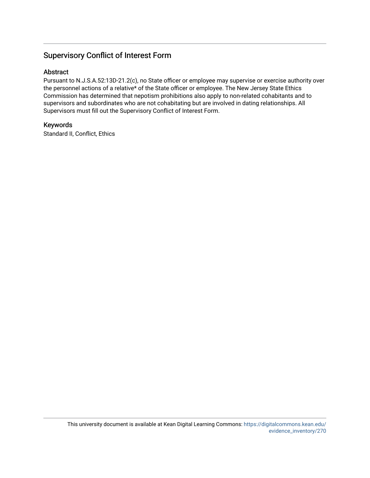### Supervisory Conflict of Interest Form

#### Abstract

Pursuant to N.J.S.A.52:13D-21.2(c), no State officer or employee may supervise or exercise authority over the personnel actions of a relative\* of the State officer or employee. The New Jersey State Ethics Commission has determined that nepotism prohibitions also apply to non-related cohabitants and to supervisors and subordinates who are not cohabitating but are involved in dating relationships. All Supervisors must fill out the Supervisory Conflict of Interest Form.

#### Keywords

Standard II, Conflict, Ethics